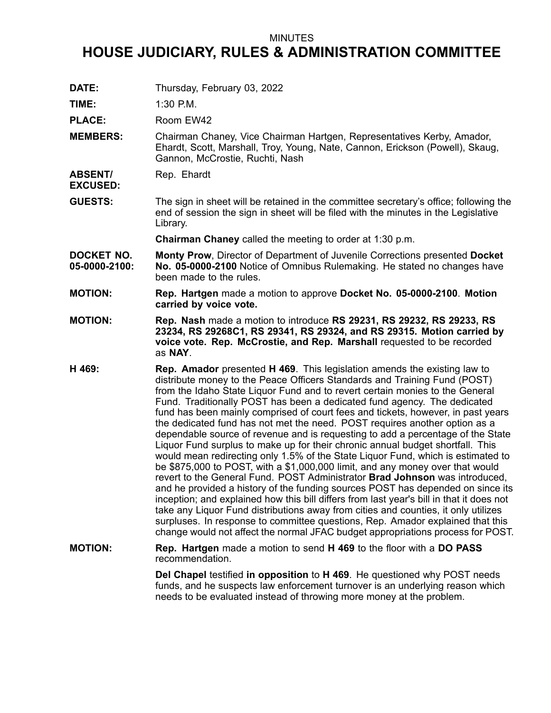## MINUTES

## **HOUSE JUDICIARY, RULES & ADMINISTRATION COMMITTEE**

**DATE:** Thursday, February 03, 2022

**TIME:** 1:30 P.M.

PLACE: Room EW42

- **MEMBERS:** Chairman Chaney, Vice Chairman Hartgen, Representatives Kerby, Amador, Ehardt, Scott, Marshall, Troy, Young, Nate, Cannon, Erickson (Powell), Skaug, Gannon, McCrostie, Ruchti, Nash
- **ABSENT/** Rep. Ehardt

**EXCUSED:**

**GUESTS:** The sign in sheet will be retained in the committee secretary's office; following the end of session the sign in sheet will be filed with the minutes in the Legislative Library.

**Chairman Chaney** called the meeting to order at 1:30 p.m.

- **DOCKET NO. 05-0000-2100: Monty Prow**, Director of Department of Juvenile Corrections presented **Docket No. 05-0000-2100** Notice of Omnibus Rulemaking. He stated no changes have been made to the rules.
- **MOTION: Rep. Hartgen** made <sup>a</sup> motion to approve **Docket No. 05-0000-2100**. **Motion carried by voice vote.**
- **MOTION: Rep. Nash** made <sup>a</sup> motion to introduce **RS 29231, RS 29232, RS 29233, RS 23234, RS 29268C1, RS 29341, RS 29324, and RS 29315. Motion carried by voice vote. Rep. McCrostie, and Rep. Marshall** requested to be recorded as **NAY**.
- **H 469: Rep. Amador** presented **H 469**. This legislation amends the existing law to distribute money to the Peace Officers Standards and Training Fund (POST) from the Idaho State Liquor Fund and to revert certain monies to the General Fund. Traditionally POST has been <sup>a</sup> dedicated fund agency. The dedicated fund has been mainly comprised of court fees and tickets, however, in past years the dedicated fund has not met the need. POST requires another option as <sup>a</sup> dependable source of revenue and is requesting to add <sup>a</sup> percentage of the State Liquor Fund surplus to make up for their chronic annual budget shortfall. This would mean redirecting only 1.5% of the State Liquor Fund, which is estimated to be \$875,000 to POST, with <sup>a</sup> \$1,000,000 limit, and any money over that would revert to the General Fund. POST Administrator **Brad Johnson** was introduced, and he provided <sup>a</sup> history of the funding sources POST has depended on since its inception; and explained how this bill differs from last year's bill in that it does not take any Liquor Fund distributions away from cities and counties, it only utilizes surpluses. In response to committee questions, Rep. Amador explained that this change would not affect the normal JFAC budget appropriations process for POST.
- **MOTION: Rep. Hartgen** made <sup>a</sup> motion to send **H 469** to the floor with <sup>a</sup> **DO PASS** recommendation.

**Del Chapel** testified **in opposition** to **H 469**. He questioned why POST needs funds, and he suspects law enforcement turnover is an underlying reason which needs to be evaluated instead of throwing more money at the problem.